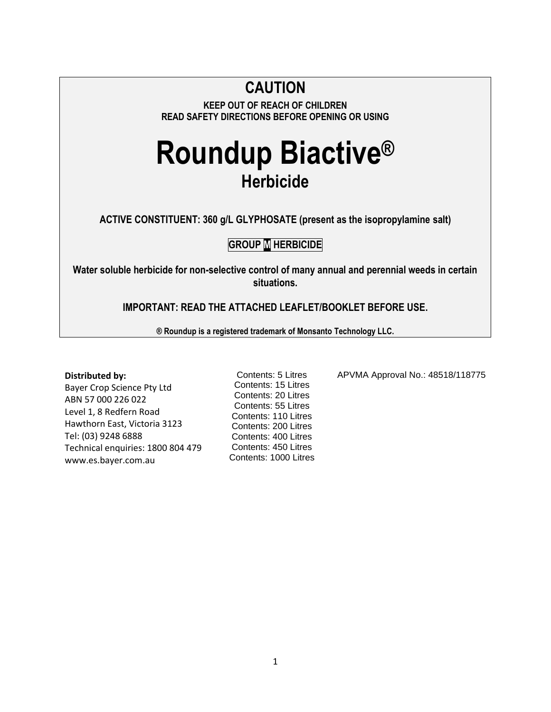## **CAUTION**

**KEEP OUT OF REACH OF CHILDREN READ SAFETY DIRECTIONS BEFORE OPENING OR USING**

# **Roundup Biactive® Herbicide**

**ACTIVE CONSTITUENT: 360 g/L GLYPHOSATE (present as the isopropylamine salt)**

## **GROUP M HERBICIDE**

**Water soluble herbicide for non-selective control of many annual and perennial weeds in certain situations.**

**IMPORTANT: READ THE ATTACHED LEAFLET/BOOKLET BEFORE USE.**

**® Roundup is a registered trademark of Monsanto Technology LLC.**

### **Distributed by:**

Bayer Crop Science Pty Ltd ABN 57 000 226 022 Level 1, 8 Redfern Road Hawthorn East, Victoria 3123 Tel: (03) 9248 6888 Technical enquiries: 1800 804 479 www.es.bayer.com.au

Contents: 5 Litres Contents: 15 Litres Contents: 20 Litres Contents: 55 Litres Contents: 110 Litres Contents: 200 Litres Contents: 400 Litres Contents: 450 Litres Contents: 1000 Litres APVMA Approval No.: 48518/118775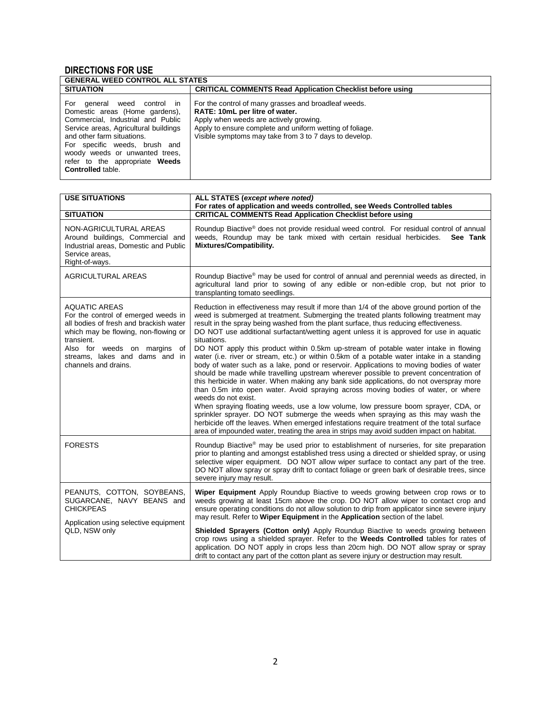## **DIRECTIONS FOR USE**

| <b>GENERAL WEED CONTROL ALL STATES</b>                                                                                                                                                                                                                                                                        |                                                                                                                                                                                                                                                        |  |  |  |  |
|---------------------------------------------------------------------------------------------------------------------------------------------------------------------------------------------------------------------------------------------------------------------------------------------------------------|--------------------------------------------------------------------------------------------------------------------------------------------------------------------------------------------------------------------------------------------------------|--|--|--|--|
| <b>SITUATION</b>                                                                                                                                                                                                                                                                                              | <b>CRITICAL COMMENTS Read Application Checklist before using</b>                                                                                                                                                                                       |  |  |  |  |
| For general<br>weed control in<br>Domestic areas (Home gardens),<br>Commercial, Industrial and Public<br>Service areas, Agricultural buildings<br>and other farm situations.<br>For specific weeds, brush and<br>woody weeds or unwanted trees,<br>refer to the appropriate Weeds<br><b>Controlled table.</b> | For the control of many grasses and broadleaf weeds.<br>RATE: 10mL per litre of water.<br>Apply when weeds are actively growing.<br>Apply to ensure complete and uniform wetting of foliage.<br>Visible symptoms may take from 3 to 7 days to develop. |  |  |  |  |

| <b>USE SITUATIONS</b>                                                                                                                                                                                                                                 | ALL STATES (except where noted)<br>For rates of application and weeds controlled, see Weeds Controlled tables                                                                                                                                                                                                                                                                                                                                                                                                                                                                                                                                                                                                                                                                                                                                                                                                                                                                                                                                                                                                                                                                                                                                                                                                                            |
|-------------------------------------------------------------------------------------------------------------------------------------------------------------------------------------------------------------------------------------------------------|------------------------------------------------------------------------------------------------------------------------------------------------------------------------------------------------------------------------------------------------------------------------------------------------------------------------------------------------------------------------------------------------------------------------------------------------------------------------------------------------------------------------------------------------------------------------------------------------------------------------------------------------------------------------------------------------------------------------------------------------------------------------------------------------------------------------------------------------------------------------------------------------------------------------------------------------------------------------------------------------------------------------------------------------------------------------------------------------------------------------------------------------------------------------------------------------------------------------------------------------------------------------------------------------------------------------------------------|
| <b>SITUATION</b>                                                                                                                                                                                                                                      | <b>CRITICAL COMMENTS Read Application Checklist before using</b>                                                                                                                                                                                                                                                                                                                                                                                                                                                                                                                                                                                                                                                                                                                                                                                                                                                                                                                                                                                                                                                                                                                                                                                                                                                                         |
| NON-AGRICULTURAL AREAS<br>Around buildings, Commercial and<br>Industrial areas, Domestic and Public<br>Service areas.<br>Right-of-ways.                                                                                                               | Roundup Biactive <sup>®</sup> does not provide residual weed control. For residual control of annual<br>weeds, Roundup may be tank mixed with certain residual herbicides.<br>See Tank<br>Mixtures/Compatibility.                                                                                                                                                                                                                                                                                                                                                                                                                                                                                                                                                                                                                                                                                                                                                                                                                                                                                                                                                                                                                                                                                                                        |
| <b>AGRICULTURAL AREAS</b>                                                                                                                                                                                                                             | Roundup Biactive® may be used for control of annual and perennial weeds as directed, in<br>agricultural land prior to sowing of any edible or non-edible crop, but not prior to<br>transplanting tomato seedlings.                                                                                                                                                                                                                                                                                                                                                                                                                                                                                                                                                                                                                                                                                                                                                                                                                                                                                                                                                                                                                                                                                                                       |
| <b>AQUATIC AREAS</b><br>For the control of emerged weeds in<br>all bodies of fresh and brackish water<br>which may be flowing, non-flowing or<br>transient.<br>Also for weeds on margins of<br>streams, lakes and dams and in<br>channels and drains. | Reduction in effectiveness may result if more than 1/4 of the above ground portion of the<br>weed is submerged at treatment. Submerging the treated plants following treatment may<br>result in the spray being washed from the plant surface, thus reducing effectiveness.<br>DO NOT use additional surfactant/wetting agent unless it is approved for use in aquatic<br>situations.<br>DO NOT apply this product within 0.5km up-stream of potable water intake in flowing<br>water (i.e. river or stream, etc.) or within 0.5km of a potable water intake in a standing<br>body of water such as a lake, pond or reservoir. Applications to moving bodies of water<br>should be made while travelling upstream wherever possible to prevent concentration of<br>this herbicide in water. When making any bank side applications, do not overspray more<br>than 0.5m into open water. Avoid spraying across moving bodies of water, or where<br>weeds do not exist.<br>When spraying floating weeds, use a low volume, low pressure boom sprayer, CDA, or<br>sprinkler sprayer. DO NOT submerge the weeds when spraying as this may wash the<br>herbicide off the leaves. When emerged infestations require treatment of the total surface<br>area of impounded water, treating the area in strips may avoid sudden impact on habitat. |
| <b>FORESTS</b>                                                                                                                                                                                                                                        | Roundup Biactive <sup>®</sup> may be used prior to establishment of nurseries, for site preparation<br>prior to planting and amongst established tress using a directed or shielded spray, or using<br>selective wiper equipment. DO NOT allow wiper surface to contact any part of the tree.<br>DO NOT allow spray or spray drift to contact foliage or green bark of desirable trees, since<br>severe injury may result.                                                                                                                                                                                                                                                                                                                                                                                                                                                                                                                                                                                                                                                                                                                                                                                                                                                                                                               |
| PEANUTS, COTTON, SOYBEANS,<br>SUGARCANE, NAVY BEANS and<br><b>CHICKPEAS</b><br>Application using selective equipment                                                                                                                                  | Wiper Equipment Apply Roundup Biactive to weeds growing between crop rows or to<br>weeds growing at least 15cm above the crop. DO NOT allow wiper to contact crop and<br>ensure operating conditions do not allow solution to drip from applicator since severe injury<br>may result. Refer to <b>Wiper Equipment</b> in the <b>Application</b> section of the label.                                                                                                                                                                                                                                                                                                                                                                                                                                                                                                                                                                                                                                                                                                                                                                                                                                                                                                                                                                    |
| QLD, NSW only                                                                                                                                                                                                                                         | Shielded Sprayers (Cotton only) Apply Roundup Biactive to weeds growing between<br>crop rows using a shielded sprayer. Refer to the <b>Weeds Controlled</b> tables for rates of<br>application. DO NOT apply in crops less than 20cm high. DO NOT allow spray or spray<br>drift to contact any part of the cotton plant as severe injury or destruction may result.                                                                                                                                                                                                                                                                                                                                                                                                                                                                                                                                                                                                                                                                                                                                                                                                                                                                                                                                                                      |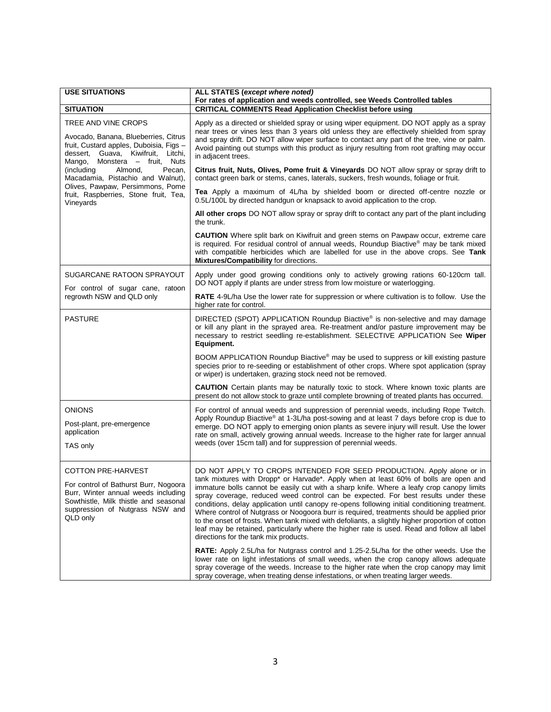| <b>USE SITUATIONS</b>                                                                                                                                                                                            | ALL STATES (except where noted)<br>For rates of application and weeds controlled, see Weeds Controlled tables                                                                                                                                                                                                                                                                                                                                                                                                                                                                                                                                                                                                                                                                                                                                                                                                                                                                       |
|------------------------------------------------------------------------------------------------------------------------------------------------------------------------------------------------------------------|-------------------------------------------------------------------------------------------------------------------------------------------------------------------------------------------------------------------------------------------------------------------------------------------------------------------------------------------------------------------------------------------------------------------------------------------------------------------------------------------------------------------------------------------------------------------------------------------------------------------------------------------------------------------------------------------------------------------------------------------------------------------------------------------------------------------------------------------------------------------------------------------------------------------------------------------------------------------------------------|
| <b>SITUATION</b>                                                                                                                                                                                                 | <b>CRITICAL COMMENTS Read Application Checklist before using</b>                                                                                                                                                                                                                                                                                                                                                                                                                                                                                                                                                                                                                                                                                                                                                                                                                                                                                                                    |
| TREE AND VINE CROPS<br>Avocado, Banana, Blueberries, Citrus<br>fruit, Custard apples, Duboisia, Figs -<br>dessert, Guava, Kiwifruit, Litchi,<br>Mango, Monstera - fruit, Nuts<br>(including<br>Almond,<br>Pecan, | Apply as a directed or shielded spray or using wiper equipment. DO NOT apply as a spray<br>near trees or vines less than 3 years old unless they are effectively shielded from spray<br>and spray drift. DO NOT allow wiper surface to contact any part of the tree, vine or palm.<br>Avoid painting out stumps with this product as injury resulting from root grafting may occur<br>in adjacent trees.<br>Citrus fruit, Nuts, Olives, Pome fruit & Vineyards DO NOT allow spray or spray drift to                                                                                                                                                                                                                                                                                                                                                                                                                                                                                 |
| Macadamia, Pistachio and Walnut),<br>Olives, Pawpaw, Persimmons, Pome<br>fruit, Raspberries, Stone fruit, Tea,                                                                                                   | contact green bark or stems, canes, laterals, suckers, fresh wounds, foliage or fruit.<br>Tea Apply a maximum of 4L/ha by shielded boom or directed off-centre nozzle or                                                                                                                                                                                                                                                                                                                                                                                                                                                                                                                                                                                                                                                                                                                                                                                                            |
| Vineyards                                                                                                                                                                                                        | 0.5L/100L by directed handgun or knapsack to avoid application to the crop.                                                                                                                                                                                                                                                                                                                                                                                                                                                                                                                                                                                                                                                                                                                                                                                                                                                                                                         |
|                                                                                                                                                                                                                  | All other crops DO NOT allow spray or spray drift to contact any part of the plant including<br>the trunk.                                                                                                                                                                                                                                                                                                                                                                                                                                                                                                                                                                                                                                                                                                                                                                                                                                                                          |
|                                                                                                                                                                                                                  | <b>CAUTION</b> Where split bark on Kiwifruit and green stems on Pawpaw occur, extreme care<br>is required. For residual control of annual weeds, Roundup Biactive <sup>®</sup> may be tank mixed<br>with compatible herbicides which are labelled for use in the above crops. See Tank<br>Mixtures/Compatibility for directions.                                                                                                                                                                                                                                                                                                                                                                                                                                                                                                                                                                                                                                                    |
| SUGARCANE RATOON SPRAYOUT                                                                                                                                                                                        | Apply under good growing conditions only to actively growing rations 60-120cm tall.<br>DO NOT apply if plants are under stress from low moisture or waterlogging.                                                                                                                                                                                                                                                                                                                                                                                                                                                                                                                                                                                                                                                                                                                                                                                                                   |
| For control of sugar cane, ratoon<br>regrowth NSW and QLD only                                                                                                                                                   | RATE 4-9L/ha Use the lower rate for suppression or where cultivation is to follow. Use the<br>higher rate for control.                                                                                                                                                                                                                                                                                                                                                                                                                                                                                                                                                                                                                                                                                                                                                                                                                                                              |
| <b>PASTURE</b>                                                                                                                                                                                                   | DIRECTED (SPOT) APPLICATION Roundup Biactive® is non-selective and may damage<br>or kill any plant in the sprayed area. Re-treatment and/or pasture improvement may be<br>necessary to restrict seedling re-establishment. SELECTIVE APPLICATION See Wiper<br>Equipment.                                                                                                                                                                                                                                                                                                                                                                                                                                                                                                                                                                                                                                                                                                            |
|                                                                                                                                                                                                                  | BOOM APPLICATION Roundup Biactive® may be used to suppress or kill existing pasture<br>species prior to re-seeding or establishment of other crops. Where spot application (spray<br>or wiper) is undertaken, grazing stock need not be removed.                                                                                                                                                                                                                                                                                                                                                                                                                                                                                                                                                                                                                                                                                                                                    |
|                                                                                                                                                                                                                  | <b>CAUTION</b> Certain plants may be naturally toxic to stock. Where known toxic plants are<br>present do not allow stock to graze until complete browning of treated plants has occurred.                                                                                                                                                                                                                                                                                                                                                                                                                                                                                                                                                                                                                                                                                                                                                                                          |
| <b>ONIONS</b><br>Post-plant, pre-emergence<br>application<br>TAS only                                                                                                                                            | For control of annual weeds and suppression of perennial weeds, including Rope Twitch.<br>Apply Roundup Biactive® at 1-3L/ha post-sowing and at least 7 days before crop is due to<br>emerge. DO NOT apply to emerging onion plants as severe injury will result. Use the lower<br>rate on small, actively growing annual weeds. Increase to the higher rate for larger annual<br>weeds (over 15cm tall) and for suppression of perennial weeds.                                                                                                                                                                                                                                                                                                                                                                                                                                                                                                                                    |
| <b>COTTON PRE-HARVEST</b><br>For control of Bathurst Burr, Nogoora<br>Burr, Winter annual weeds including<br>Sowthistle, Milk thistle and seasonal<br>suppression of Nutgrass NSW and<br>QLD only                | DO NOT APPLY TO CROPS INTENDED FOR SEED PRODUCTION. Apply alone or in<br>tank mixtures with Dropp* or Harvade*. Apply when at least 60% of bolls are open and<br>immature bolls cannot be easily cut with a sharp knife. Where a leafy crop canopy limits<br>spray coverage, reduced weed control can be expected. For best results under these<br>conditions, delay application until canopy re-opens following initial conditioning treatment.<br>Where control of Nutgrass or Noogoora burr is required, treatments should be applied prior<br>to the onset of frosts. When tank mixed with defoliants, a slightly higher proportion of cotton<br>leaf may be retained, particularly where the higher rate is used. Read and follow all label<br>directions for the tank mix products.<br><b>RATE:</b> Apply 2.5L/ha for Nutgrass control and 1.25-2.5L/ha for the other weeds. Use the<br>lower rate on light infestations of small weeds, when the crop canopy allows adequate |
|                                                                                                                                                                                                                  | spray coverage of the weeds. Increase to the higher rate when the crop canopy may limit<br>spray coverage, when treating dense infestations, or when treating larger weeds.                                                                                                                                                                                                                                                                                                                                                                                                                                                                                                                                                                                                                                                                                                                                                                                                         |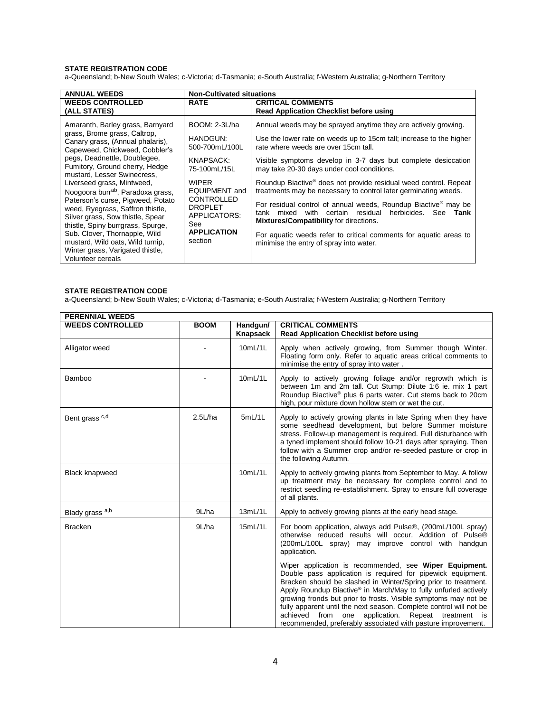a-Queensland; b-New South Wales; c-Victoria; d-Tasmania; e-South Australia; f-Western Australia; g-Northern Territory

| <b>ANNUAL WEEDS</b>                                                                                                                                                                                                                                                                                                                                                                                                                                                                                                                                                                       | <b>Non-Cultivated situations</b>                                                                                                                                                                                |                                                                                                                                                                                                                                                                                                                                                                                                                                                                                                                                                                                                                                                                                                                                                                 |  |
|-------------------------------------------------------------------------------------------------------------------------------------------------------------------------------------------------------------------------------------------------------------------------------------------------------------------------------------------------------------------------------------------------------------------------------------------------------------------------------------------------------------------------------------------------------------------------------------------|-----------------------------------------------------------------------------------------------------------------------------------------------------------------------------------------------------------------|-----------------------------------------------------------------------------------------------------------------------------------------------------------------------------------------------------------------------------------------------------------------------------------------------------------------------------------------------------------------------------------------------------------------------------------------------------------------------------------------------------------------------------------------------------------------------------------------------------------------------------------------------------------------------------------------------------------------------------------------------------------------|--|
| <b>WEEDS CONTROLLED</b>                                                                                                                                                                                                                                                                                                                                                                                                                                                                                                                                                                   | <b>RATE</b>                                                                                                                                                                                                     | <b>CRITICAL COMMENTS</b>                                                                                                                                                                                                                                                                                                                                                                                                                                                                                                                                                                                                                                                                                                                                        |  |
| (ALL STATES)                                                                                                                                                                                                                                                                                                                                                                                                                                                                                                                                                                              |                                                                                                                                                                                                                 | <b>Read Application Checklist before using</b>                                                                                                                                                                                                                                                                                                                                                                                                                                                                                                                                                                                                                                                                                                                  |  |
| Amaranth, Barley grass, Barnyard<br>grass, Brome grass, Caltrop,<br>Canary grass, (Annual phalaris),<br>Capeweed, Chickweed, Cobbler's<br>pegs, Deadnettle, Doublegee,<br>Fumitory, Ground cherry, Hedge<br>mustard, Lesser Swinecress,<br>Liverseed grass, Mintweed,<br>Noogoora burrab, Paradoxa grass,<br>Paterson's curse, Pigweed, Potato<br>weed, Ryegrass, Saffron thistle,<br>Silver grass, Sow thistle, Spear<br>thistle, Spiny burrgrass, Spurge,<br>Sub. Clover, Thornapple, Wild<br>mustard, Wild oats, Wild turnip,<br>Winter grass, Varigated thistle,<br>Volunteer cereals | BOOM: 2-3L/ha<br>HANDGUN:<br>500-700mL/100L<br>KNAPSACK:<br>75-100mL/15L<br><b>WIPFR</b><br><b>EQUIPMENT</b> and<br><b>CONTROLLED</b><br><b>DROPLET</b><br>APPLICATORS:<br>See<br><b>APPLICATION</b><br>section | Annual weeds may be sprayed anytime they are actively growing.<br>Use the lower rate on weeds up to 15cm tall; increase to the higher<br>rate where weeds are over 15cm tall.<br>Visible symptoms develop in 3-7 days but complete desiccation<br>may take 20-30 days under cool conditions.<br>Roundup Biactive <sup>®</sup> does not provide residual weed control. Repeat<br>treatments may be necessary to control later germinating weeds.<br>For residual control of annual weeds, Roundup Biactive <sup>®</sup> may be<br>residual<br>herbicides. See<br>certain<br>with<br>tank mixed<br>Tank<br>Mixtures/Compatibility for directions.<br>For aquatic weeds refer to critical comments for aquatic areas to<br>minimise the entry of spray into water. |  |

#### **STATE REGISTRATION CODE**

| <b>PERENNIAL WEEDS</b>  |             |          |                                                                                                                                                                                                                                                                                                                                                                                                                                                                                                                                                |
|-------------------------|-------------|----------|------------------------------------------------------------------------------------------------------------------------------------------------------------------------------------------------------------------------------------------------------------------------------------------------------------------------------------------------------------------------------------------------------------------------------------------------------------------------------------------------------------------------------------------------|
| <b>WEEDS CONTROLLED</b> | <b>BOOM</b> | Handgun/ | <b>CRITICAL COMMENTS</b>                                                                                                                                                                                                                                                                                                                                                                                                                                                                                                                       |
|                         |             | Knapsack | <b>Read Application Checklist before using</b>                                                                                                                                                                                                                                                                                                                                                                                                                                                                                                 |
| Alligator weed          |             | 10mL/1L  | Apply when actively growing, from Summer though Winter.<br>Floating form only. Refer to aquatic areas critical comments to<br>minimise the entry of spray into water.                                                                                                                                                                                                                                                                                                                                                                          |
| Bamboo                  |             | 10mL/1L  | Apply to actively growing foliage and/or regrowth which is<br>between 1m and 2m tall. Cut Stump: Dilute 1:6 ie. mix 1 part<br>Roundup Biactive® plus 6 parts water. Cut stems back to 20cm<br>high, pour mixture down hollow stem or wet the cut.                                                                                                                                                                                                                                                                                              |
| Bent grass c,d          | 2.5L/ha     | 5mL/1L   | Apply to actively growing plants in late Spring when they have<br>some seedhead development, but before Summer moisture<br>stress. Follow-up management is required. Full disturbance with<br>a tyned implement should follow 10-21 days after spraying. Then<br>follow with a Summer crop and/or re-seeded pasture or crop in<br>the following Autumn.                                                                                                                                                                                        |
| <b>Black knapweed</b>   |             | 10mL/1L  | Apply to actively growing plants from September to May. A follow<br>up treatment may be necessary for complete control and to<br>restrict seedling re-establishment. Spray to ensure full coverage<br>of all plants.                                                                                                                                                                                                                                                                                                                           |
| Blady grass a,b         | 9L/ha       | 13mL/1L  | Apply to actively growing plants at the early head stage.                                                                                                                                                                                                                                                                                                                                                                                                                                                                                      |
| <b>Bracken</b>          | 9L/ha       | 15mL/1L  | For boom application, always add Pulse®, (200mL/100L spray)<br>otherwise reduced results will occur. Addition of Pulse®<br>(200mL/100L spray) may improve control with handgun<br>application.                                                                                                                                                                                                                                                                                                                                                 |
|                         |             |          | Wiper application is recommended, see Wiper Equipment.<br>Double pass application is required for pipewick equipment.<br>Bracken should be slashed in Winter/Spring prior to treatment.<br>Apply Roundup Biactive <sup>®</sup> in March/May to fully unfurled actively<br>growing fronds but prior to frosts. Visible symptoms may not be<br>fully apparent until the next season. Complete control will not be<br>from<br>one<br>application. Repeat treatment is<br>achieved<br>recommended, preferably associated with pasture improvement. |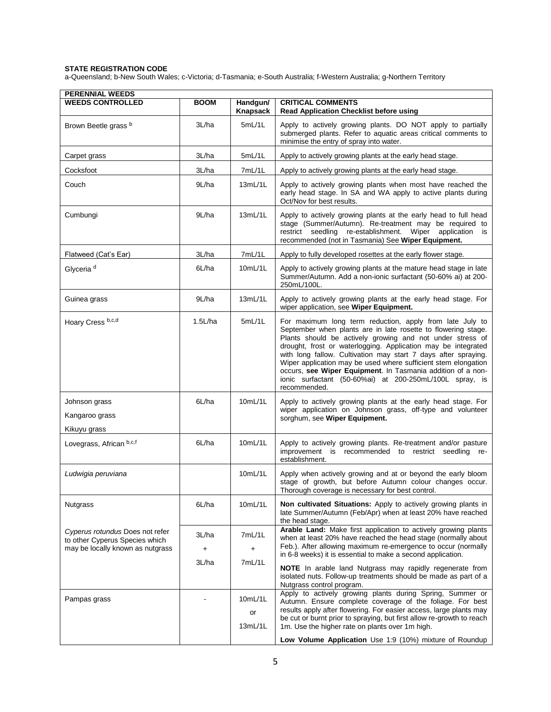| <b>PERENNIAL WEEDS</b>                                                                                |                     |                          |                                                                                                                                                                                                                                                                                                                                                                                                                                                                                                                                       |  |
|-------------------------------------------------------------------------------------------------------|---------------------|--------------------------|---------------------------------------------------------------------------------------------------------------------------------------------------------------------------------------------------------------------------------------------------------------------------------------------------------------------------------------------------------------------------------------------------------------------------------------------------------------------------------------------------------------------------------------|--|
| <b>WEEDS CONTROLLED</b>                                                                               | <b>BOOM</b>         | Handgun/<br>Knapsack     | <b>CRITICAL COMMENTS</b><br><b>Read Application Checklist before using</b>                                                                                                                                                                                                                                                                                                                                                                                                                                                            |  |
| Brown Beetle grass b                                                                                  | 3L/ha               | 5mL/1L                   | Apply to actively growing plants. DO NOT apply to partially<br>submerged plants. Refer to aquatic areas critical comments to<br>minimise the entry of spray into water.                                                                                                                                                                                                                                                                                                                                                               |  |
| Carpet grass                                                                                          | 3L/ha               | 5mL/1L                   | Apply to actively growing plants at the early head stage.                                                                                                                                                                                                                                                                                                                                                                                                                                                                             |  |
| Cocksfoot                                                                                             | 3L/ha               | 7mL/1L                   | Apply to actively growing plants at the early head stage.                                                                                                                                                                                                                                                                                                                                                                                                                                                                             |  |
| Couch                                                                                                 | 9L/ha               | 13mL/1L                  | Apply to actively growing plants when most have reached the<br>early head stage. In SA and WA apply to active plants during<br>Oct/Nov for best results.                                                                                                                                                                                                                                                                                                                                                                              |  |
| Cumbungi                                                                                              | 9L/ha               | 13mL/1L                  | Apply to actively growing plants at the early head to full head<br>stage (Summer/Autumn). Re-treatment may be required to<br>restrict seedling re-establishment. Wiper application is<br>recommended (not in Tasmania) See Wiper Equipment.                                                                                                                                                                                                                                                                                           |  |
| Flatweed (Cat's Ear)                                                                                  | 3L/ha               | 7mL/1L                   | Apply to fully developed rosettes at the early flower stage.                                                                                                                                                                                                                                                                                                                                                                                                                                                                          |  |
| Glyceria <sup>d</sup>                                                                                 | 6L/ha               | 10mL/1L                  | Apply to actively growing plants at the mature head stage in late<br>Summer/Autumn. Add a non-ionic surfactant (50-60% ai) at 200-<br>250mL/100L.                                                                                                                                                                                                                                                                                                                                                                                     |  |
| Guinea grass                                                                                          | 9L/ha               | 13mL/1L                  | Apply to actively growing plants at the early head stage. For<br>wiper application, see Wiper Equipment.                                                                                                                                                                                                                                                                                                                                                                                                                              |  |
| Hoary Cress b,c,d                                                                                     | 1.5L/ha             | 5mL/1L                   | For maximum long term reduction, apply from late July to<br>September when plants are in late rosette to flowering stage.<br>Plants should be actively growing and not under stress of<br>drought, frost or waterlogging. Application may be integrated<br>with long fallow. Cultivation may start 7 days after spraying.<br>Wiper application may be used where sufficient stem elongation<br>occurs, see Wiper Equipment. In Tasmania addition of a non-<br>ionic surfactant (50-60%ai) at 200-250mL/100L spray, is<br>recommended. |  |
| Johnson grass<br>Kangaroo grass<br>Kikuyu grass                                                       | 6L/ha               | 10mL/1L                  | Apply to actively growing plants at the early head stage. For<br>wiper application on Johnson grass, off-type and volunteer<br>sorghum, see Wiper Equipment.                                                                                                                                                                                                                                                                                                                                                                          |  |
| Lovegrass, African b,c,f                                                                              | 6L/ha               | 10mL/1L                  | Apply to actively growing plants. Re-treatment and/or pasture<br>improvement is recommended to restrict seedling<br>re-<br>establishment.                                                                                                                                                                                                                                                                                                                                                                                             |  |
| Ludwigia peruviana                                                                                    |                     | 10mL/1L                  | Apply when actively growing and at or beyond the early bloom<br>stage of growth, but before Autumn colour changes occur.<br>Thorough coverage is necessary for best control.                                                                                                                                                                                                                                                                                                                                                          |  |
| <b>Nutgrass</b>                                                                                       | 6L/ha               | 10mL/1L                  | <b>Non cultivated Situations:</b> Apply to actively growing plants in<br>late Summer/Autumn (Feb/Apr) when at least 20% have reached<br>the head stage.                                                                                                                                                                                                                                                                                                                                                                               |  |
| Cyperus rotundus Does not refer<br>to other Cyperus Species which<br>may be locally known as nutgrass | 3L/ha<br>+<br>3L/ha | 7mL/1L<br>+<br>7mL/1L    | Arable Land: Make first application to actively growing plants<br>when at least 20% have reached the head stage (normally about<br>Feb.). After allowing maximum re-emergence to occur (normally<br>in 6-8 weeks) it is essential to make a second application.<br><b>NOTE</b> In arable land Nutgrass may rapidly regenerate from<br>isolated nuts. Follow-up treatments should be made as part of a<br>Nutgrass control program.                                                                                                    |  |
| Pampas grass                                                                                          |                     | 10mL/1L<br>or<br>13mL/1L | Apply to actively growing plants during Spring, Summer or<br>Autumn. Ensure complete coverage of the foliage. For best<br>results apply after flowering. For easier access, large plants may<br>be cut or burnt prior to spraying, but first allow re-growth to reach<br>1m. Use the higher rate on plants over 1m high.<br>Low Volume Application Use 1:9 (10%) mixture of Roundup                                                                                                                                                   |  |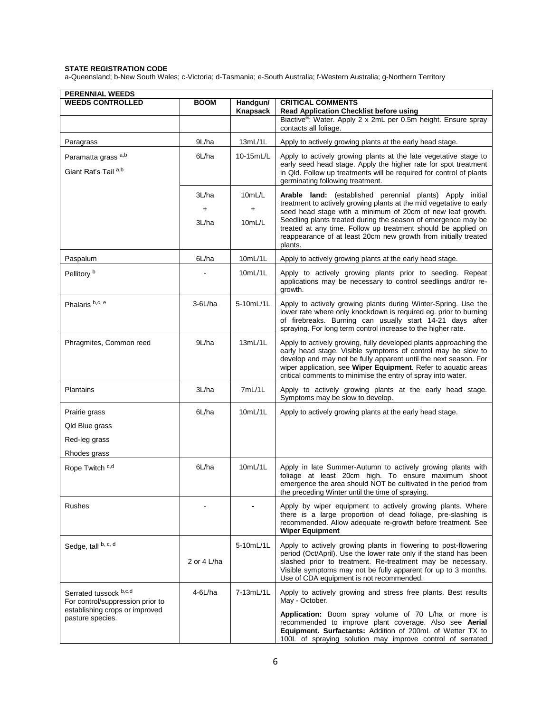| <b>PERENNIAL WEEDS</b><br><b>WEEDS CONTROLLED</b>          | <b>BOOM</b> | Handgun/  | <b>CRITICAL COMMENTS</b>                                                                                                                                                                                                                                                                                                                |
|------------------------------------------------------------|-------------|-----------|-----------------------------------------------------------------------------------------------------------------------------------------------------------------------------------------------------------------------------------------------------------------------------------------------------------------------------------------|
|                                                            |             | Knapsack  | Read Application Checklist before using<br>Biactive <sup>®</sup> : Water. Apply 2 x 2mL per 0.5m height. Ensure spray                                                                                                                                                                                                                   |
|                                                            |             |           | contacts all foliage.                                                                                                                                                                                                                                                                                                                   |
| Paragrass                                                  | 9L/ha       | 13mL/1L   | Apply to actively growing plants at the early head stage.                                                                                                                                                                                                                                                                               |
| Paramatta grass <sup>a,b</sup>                             | 6L/ha       | 10-15mL/L | Apply to actively growing plants at the late vegetative stage to<br>early seed head stage. Apply the higher rate for spot treatment                                                                                                                                                                                                     |
| Giant Rat's Tail a,b                                       |             |           | in Qld. Follow up treatments will be required for control of plants<br>germinating following treatment.                                                                                                                                                                                                                                 |
|                                                            | 3L/ha       | 10mL/L    | Arable land: (established perennial plants) Apply initial<br>treatment to actively growing plants at the mid vegetative to early                                                                                                                                                                                                        |
|                                                            | +           | $\ddot{}$ | seed head stage with a minimum of 20cm of new leaf growth.                                                                                                                                                                                                                                                                              |
|                                                            | 3L/ha       | 10mL/L    | Seedling plants treated during the season of emergence may be<br>treated at any time. Follow up treatment should be applied on<br>reappearance of at least 20cm new growth from initially treated<br>plants.                                                                                                                            |
| Paspalum                                                   | 6L/ha       | 10mL/1L   | Apply to actively growing plants at the early head stage.                                                                                                                                                                                                                                                                               |
| Pellitory <sup>b</sup>                                     |             | 10mL/1L   | Apply to actively growing plants prior to seeding. Repeat<br>applications may be necessary to control seedlings and/or re-<br>growth.                                                                                                                                                                                                   |
| Phalaris b,c, e                                            | $3-6$ L/ha  | 5-10mL/1L | Apply to actively growing plants during Winter-Spring. Use the<br>lower rate where only knockdown is required eg. prior to burning<br>of firebreaks. Burning can usually start 14-21 days after<br>spraying. For long term control increase to the higher rate.                                                                         |
| Phragmites, Common reed                                    | 9L/ha       | 13mL/1L   | Apply to actively growing, fully developed plants approaching the<br>early head stage. Visible symptoms of control may be slow to<br>develop and may not be fully apparent until the next season. For<br>wiper application, see Wiper Equipment. Refer to aquatic areas<br>critical comments to minimise the entry of spray into water. |
| <b>Plantains</b>                                           | 3L/ha       | 7mL/1L    | Apply to actively growing plants at the early head stage.<br>Symptoms may be slow to develop.                                                                                                                                                                                                                                           |
| Prairie grass                                              | 6L/ha       | 10mL/1L   | Apply to actively growing plants at the early head stage.                                                                                                                                                                                                                                                                               |
| Qld Blue grass                                             |             |           |                                                                                                                                                                                                                                                                                                                                         |
| Red-leg grass                                              |             |           |                                                                                                                                                                                                                                                                                                                                         |
| Rhodes grass                                               |             |           |                                                                                                                                                                                                                                                                                                                                         |
| Rope Twitch <sup>c,d</sup>                                 | 6L/ha       | 10mL/1L   | Apply in late Summer-Autumn to actively growing plants with<br>foliage at least 20cm high. To ensure maximum shoot<br>emergence the area should NOT be cultivated in the period from<br>the preceding Winter until the time of spraying.                                                                                                |
| <b>Rushes</b>                                              |             |           | Apply by wiper equipment to actively growing plants. Where<br>there is a large proportion of dead foliage, pre-slashing is<br>recommended. Allow adequate re-growth before treatment. See<br><b>Wiper Equipment</b>                                                                                                                     |
| Sedge, tall b, c, d                                        |             | 5-10mL/1L | Apply to actively growing plants in flowering to post-flowering                                                                                                                                                                                                                                                                         |
|                                                            | 2 or 4 L/ha |           | period (Oct/April). Use the lower rate only if the stand has been<br>slashed prior to treatment. Re-treatment may be necessary.<br>Visible symptoms may not be fully apparent for up to 3 months.<br>Use of CDA equipment is not recommended.                                                                                           |
| Serrated tussock b,c,d<br>For control/suppression prior to | $4-6$ L/ha  | 7-13mL/1L | Apply to actively growing and stress free plants. Best results<br>May - October.                                                                                                                                                                                                                                                        |
| establishing crops or improved<br>pasture species.         |             |           | Application: Boom spray volume of 70 L/ha or more is<br>recommended to improve plant coverage. Also see Aerial<br>Equipment. Surfactants: Addition of 200mL of Wetter TX to<br>100L of spraying solution may improve control of serrated                                                                                                |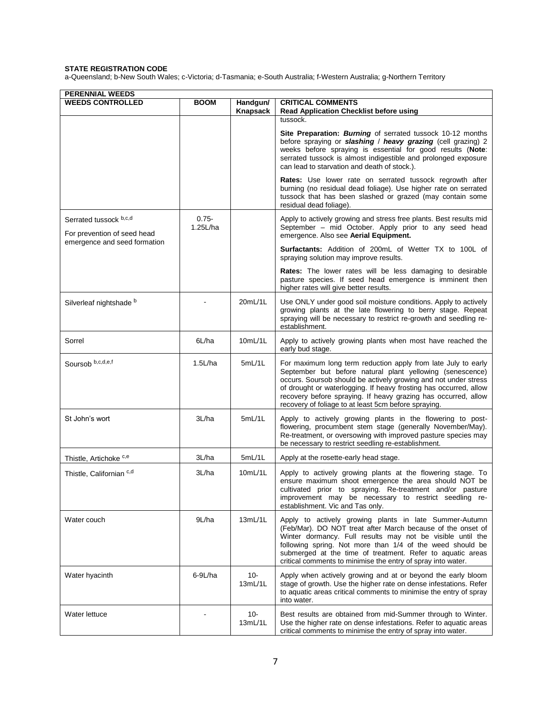| <b>PERENNIAL WEEDS</b>                                                                |                      |                      |                                                                                                                                                                                                                                                                                                                                                                                              |  |  |
|---------------------------------------------------------------------------------------|----------------------|----------------------|----------------------------------------------------------------------------------------------------------------------------------------------------------------------------------------------------------------------------------------------------------------------------------------------------------------------------------------------------------------------------------------------|--|--|
| <b>WEEDS CONTROLLED</b>                                                               | <b>BOOM</b>          | Handgun/<br>Knapsack | <b>CRITICAL COMMENTS</b><br>Read Application Checklist before using                                                                                                                                                                                                                                                                                                                          |  |  |
|                                                                                       |                      |                      | tussock.<br>Site Preparation: Burning of serrated tussock 10-12 months                                                                                                                                                                                                                                                                                                                       |  |  |
|                                                                                       |                      |                      | before spraying or slashing / heavy grazing (cell grazing) 2<br>weeks before spraying is essential for good results (Note:<br>serrated tussock is almost indigestible and prolonged exposure<br>can lead to starvation and death of stock.).                                                                                                                                                 |  |  |
|                                                                                       |                      |                      | Rates: Use lower rate on serrated tussock regrowth after<br>burning (no residual dead foliage). Use higher rate on serrated<br>tussock that has been slashed or grazed (may contain some<br>residual dead foliage).                                                                                                                                                                          |  |  |
| Serrated tussock b,c,d<br>For prevention of seed head<br>emergence and seed formation | $0.75 -$<br>1.25L/ha |                      | Apply to actively growing and stress free plants. Best results mid<br>September - mid October. Apply prior to any seed head<br>emergence. Also see Aerial Equipment.                                                                                                                                                                                                                         |  |  |
|                                                                                       |                      |                      | <b>Surfactants:</b> Addition of 200mL of Wetter TX to 100L of<br>spraying solution may improve results.                                                                                                                                                                                                                                                                                      |  |  |
|                                                                                       |                      |                      | <b>Rates:</b> The lower rates will be less damaging to desirable<br>pasture species. If seed head emergence is imminent then<br>higher rates will give better results.                                                                                                                                                                                                                       |  |  |
| Silverleaf nightshade b                                                               |                      | 20mL/1L              | Use ONLY under good soil moisture conditions. Apply to actively<br>growing plants at the late flowering to berry stage. Repeat<br>spraying will be necessary to restrict re-growth and seedling re-<br>establishment.                                                                                                                                                                        |  |  |
| Sorrel                                                                                | 6L/ha                | 10mL/1L              | Apply to actively growing plants when most have reached the<br>early bud stage.                                                                                                                                                                                                                                                                                                              |  |  |
| Soursob b,c,d,e,f                                                                     | 1.5L/ha              | 5mL/1L               | For maximum long term reduction apply from late July to early<br>September but before natural plant yellowing (senescence)<br>occurs. Soursob should be actively growing and not under stress<br>of drought or waterlogging. If heavy frosting has occurred, allow<br>recovery before spraying. If heavy grazing has occurred, allow<br>recovery of foliage to at least 5cm before spraying. |  |  |
| St John's wort                                                                        | 3L/ha                | 5mL/1L               | Apply to actively growing plants in the flowering to post-<br>flowering, procumbent stem stage (generally November/May).<br>Re-treatment, or oversowing with improved pasture species may<br>be necessary to restrict seedling re-establishment.                                                                                                                                             |  |  |
| Thistle, Artichoke <sup>c,e</sup>                                                     | 3L/ha                | 5mL/1L               | Apply at the rosette-early head stage.                                                                                                                                                                                                                                                                                                                                                       |  |  |
| Thistle, Californian c,d                                                              | 3L/ha                | 10mL/1L              | Apply to actively growing plants at the flowering stage. To<br>ensure maximum shoot emergence the area should NOT be<br>cultivated prior to spraying. Re-treatment and/or pasture<br>improvement may be necessary to restrict seedling re-<br>establishment. Vic and Tas only.                                                                                                               |  |  |
| Water couch                                                                           | 9L/ha                | 13mL/1L              | Apply to actively growing plants in late Summer-Autumn<br>(Feb/Mar). DO NOT treat after March because of the onset of<br>Winter dormancy. Full results may not be visible until the<br>following spring. Not more than 1/4 of the weed should be<br>submerged at the time of treatment. Refer to aquatic areas<br>critical comments to minimise the entry of spray into water.               |  |  |
| Water hyacinth                                                                        | $6-9L/ha$            | 10-<br>13mL/1L       | Apply when actively growing and at or beyond the early bloom<br>stage of growth. Use the higher rate on dense infestations. Refer<br>to aquatic areas critical comments to minimise the entry of spray<br>into water.                                                                                                                                                                        |  |  |
| Water lettuce                                                                         |                      | 10-<br>13mL/1L       | Best results are obtained from mid-Summer through to Winter.<br>Use the higher rate on dense infestations. Refer to aquatic areas<br>critical comments to minimise the entry of spray into water.                                                                                                                                                                                            |  |  |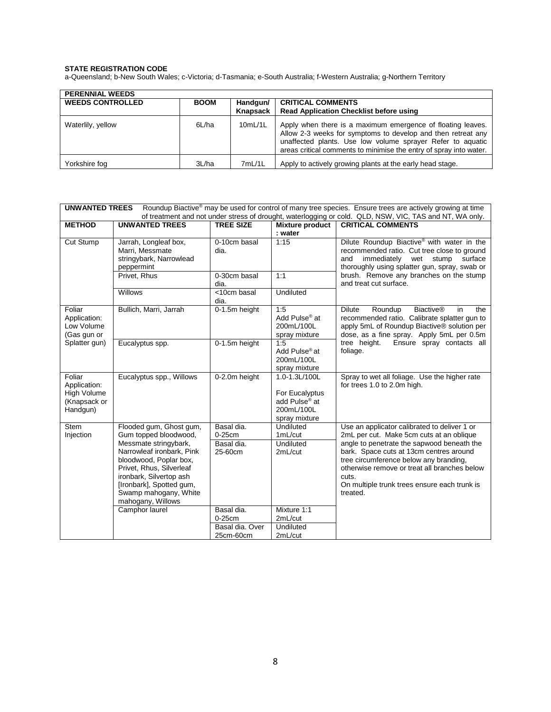| <b>PERENNIAL WEEDS</b>  |             |                      |                                                                                                                                                                                                                                                                 |
|-------------------------|-------------|----------------------|-----------------------------------------------------------------------------------------------------------------------------------------------------------------------------------------------------------------------------------------------------------------|
| <b>WEEDS CONTROLLED</b> | <b>BOOM</b> | Handgun/<br>Knapsack | <b>CRITICAL COMMENTS</b><br><b>Read Application Checklist before using</b>                                                                                                                                                                                      |
| Waterlily, yellow       | 6L/ha       | 10mL/1L              | Apply when there is a maximum emergence of floating leaves.<br>Allow 2-3 weeks for symptoms to develop and then retreat any<br>unaffected plants. Use low volume sprayer Refer to aquatic<br>areas critical comments to minimise the entry of spray into water. |
| Yorkshire fog           | 3L/ha       | 7mL/1L               | Apply to actively growing plants at the early head stage.                                                                                                                                                                                                       |

| <b>UNWANTED TREES</b><br>Roundup Biactive® may be used for control of many tree species. Ensure trees are actively growing at time<br>of treatment and not under stress of drought, waterlogging or cold. QLD, NSW, VIC, TAS and NT, WA only. |                                                                                                                                                                                                                                                                   |                                                                                                                                                                                                         |                                                                                             |                                                                                                                                                                                                                                                                                                                                                  |  |
|-----------------------------------------------------------------------------------------------------------------------------------------------------------------------------------------------------------------------------------------------|-------------------------------------------------------------------------------------------------------------------------------------------------------------------------------------------------------------------------------------------------------------------|---------------------------------------------------------------------------------------------------------------------------------------------------------------------------------------------------------|---------------------------------------------------------------------------------------------|--------------------------------------------------------------------------------------------------------------------------------------------------------------------------------------------------------------------------------------------------------------------------------------------------------------------------------------------------|--|
| <b>METHOD</b>                                                                                                                                                                                                                                 | <b>UNWANTED TREES</b>                                                                                                                                                                                                                                             | <b>TREE SIZE</b>                                                                                                                                                                                        | <b>Mixture product</b><br>: water                                                           | <b>CRITICAL COMMENTS</b>                                                                                                                                                                                                                                                                                                                         |  |
| Cut Stump<br>0-10cm basal<br>1:15<br>Jarrah, Longleaf box,<br>Marri, Messmate<br>dia.<br>stringybark, Narrowlead<br>peppermint                                                                                                                |                                                                                                                                                                                                                                                                   | Dilute Roundup Biactive <sup>®</sup> with water in the<br>recommended ratio. Cut tree close to ground<br>immediately<br>wet<br>stump<br>and<br>surface<br>thoroughly using splatter gun, spray, swab or |                                                                                             |                                                                                                                                                                                                                                                                                                                                                  |  |
|                                                                                                                                                                                                                                               | Privet, Rhus                                                                                                                                                                                                                                                      | 0-30cm basal<br>dia.                                                                                                                                                                                    | 1:1                                                                                         | brush. Remove any branches on the stump<br>and treat cut surface.                                                                                                                                                                                                                                                                                |  |
|                                                                                                                                                                                                                                               | Willows                                                                                                                                                                                                                                                           | <10cm basal<br>dia.                                                                                                                                                                                     | Undiluted                                                                                   |                                                                                                                                                                                                                                                                                                                                                  |  |
| Foliar<br>Application:<br>Low Volume<br>(Gas gun or                                                                                                                                                                                           | Bullich, Marri, Jarrah                                                                                                                                                                                                                                            | 0-1.5m height                                                                                                                                                                                           | 1:5<br>Add Pulse <sup>®</sup> at<br>200mL/100L<br>spray mixture                             | <b>Dilute</b><br>Roundup<br><b>Biactive®</b><br>in<br>the<br>recommended ratio. Calibrate splatter gun to<br>apply 5mL of Roundup Biactive® solution per<br>dose, as a fine spray. Apply 5mL per 0.5m                                                                                                                                            |  |
| Splatter gun)                                                                                                                                                                                                                                 | Eucalyptus spp.                                                                                                                                                                                                                                                   | 0-1.5m height                                                                                                                                                                                           | 1:5<br>Add Pulse <sup>®</sup> at<br>200mL/100L<br>spray mixture                             | Ensure spray contacts all<br>tree height.<br>foliage.                                                                                                                                                                                                                                                                                            |  |
| Foliar<br>Application:<br>High Volume<br>(Knapsack or<br>Handgun)                                                                                                                                                                             | Eucalyptus spp., Willows                                                                                                                                                                                                                                          | 0-2.0m height                                                                                                                                                                                           | 1.0-1.3L/100L<br>For Eucalyptus<br>add Pulse <sup>®</sup> at<br>200mL/100L<br>spray mixture | Spray to wet all foliage. Use the higher rate<br>for trees 1.0 to 2.0m high.                                                                                                                                                                                                                                                                     |  |
| <b>Stem</b><br>Injection                                                                                                                                                                                                                      | Flooded gum, Ghost gum,<br>Gum topped bloodwood,<br>Messmate stringybark,<br>Narrowleaf ironbark, Pink<br>bloodwood, Poplar box,<br>Privet, Rhus, Silverleaf<br>ironbark, Silvertop ash<br>[Ironbark], Spotted gum,<br>Swamp mahogany, White<br>mahogany, Willows | Basal dia.<br>$0-25$ cm<br>Basal dia.<br>25-60cm                                                                                                                                                        | Undiluted<br>$1m$ L/cut<br>Undiluted<br>$2m$ L/cut                                          | Use an applicator calibrated to deliver 1 or<br>2mL per cut. Make 5cm cuts at an oblique<br>angle to penetrate the sapwood beneath the<br>bark. Space cuts at 13cm centres around<br>tree circumference below any branding,<br>otherwise remove or treat all branches below<br>cuts.<br>On multiple trunk trees ensure each trunk is<br>treated. |  |
|                                                                                                                                                                                                                                               | Camphor laurel                                                                                                                                                                                                                                                    | Basal dia.<br>$0-25$ cm<br>Basal dia, Over<br>25cm-60cm                                                                                                                                                 | Mixture 1:1<br>2mL/cut<br>Undiluted<br>2mL/cut                                              |                                                                                                                                                                                                                                                                                                                                                  |  |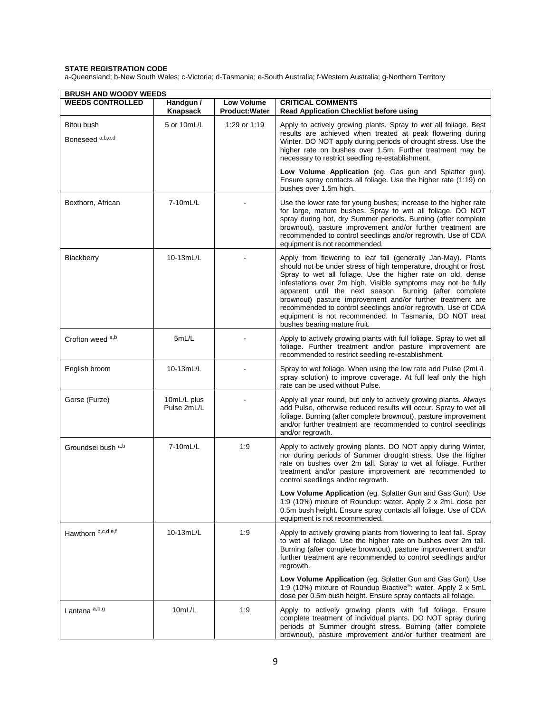| <b>BRUSH AND WOODY WEEDS</b>   |                            |                                            |                                                                                                                                                                                                                                                                                                                                                                                                                                                                                                                                                       |  |
|--------------------------------|----------------------------|--------------------------------------------|-------------------------------------------------------------------------------------------------------------------------------------------------------------------------------------------------------------------------------------------------------------------------------------------------------------------------------------------------------------------------------------------------------------------------------------------------------------------------------------------------------------------------------------------------------|--|
| <b>WEEDS CONTROLLED</b>        | Handgun /<br>Knapsack      | <b>Low Volume</b><br><b>Product: Water</b> | <b>CRITICAL COMMENTS</b><br><b>Read Application Checklist before using</b>                                                                                                                                                                                                                                                                                                                                                                                                                                                                            |  |
| Bitou bush<br>Boneseed a,b,c,d | 5 or 10mL/L                | 1:29 or 1:19                               | Apply to actively growing plants. Spray to wet all foliage. Best<br>results are achieved when treated at peak flowering during<br>Winter. DO NOT apply during periods of drought stress. Use the<br>higher rate on bushes over 1.5m. Further treatment may be<br>necessary to restrict seedling re-establishment.                                                                                                                                                                                                                                     |  |
|                                |                            |                                            | Low Volume Application (eg. Gas gun and Splatter gun).<br>Ensure spray contacts all foliage. Use the higher rate (1:19) on<br>bushes over 1.5m high.                                                                                                                                                                                                                                                                                                                                                                                                  |  |
| Boxthorn, African              | 7-10mL/L                   |                                            | Use the lower rate for young bushes; increase to the higher rate<br>for large, mature bushes. Spray to wet all foliage. DO NOT<br>spray during hot, dry Summer periods. Burning (after complete<br>brownout), pasture improvement and/or further treatment are<br>recommended to control seedlings and/or regrowth. Use of CDA<br>equipment is not recommended.                                                                                                                                                                                       |  |
| Blackberry                     | 10-13mL/L                  |                                            | Apply from flowering to leaf fall (generally Jan-May). Plants<br>should not be under stress of high temperature, drought or frost.<br>Spray to wet all foliage. Use the higher rate on old, dense<br>infestations over 2m high. Visible symptoms may not be fully<br>apparent until the next season. Burning (after complete<br>brownout) pasture improvement and/or further treatment are<br>recommended to control seedlings and/or regrowth. Use of CDA<br>equipment is not recommended. In Tasmania, DO NOT treat<br>bushes bearing mature fruit. |  |
| Crofton weed a,b               | 5mL/L                      |                                            | Apply to actively growing plants with full foliage. Spray to wet all<br>foliage. Further treatment and/or pasture improvement are<br>recommended to restrict seedling re-establishment.                                                                                                                                                                                                                                                                                                                                                               |  |
| English broom                  | 10-13mL/L                  |                                            | Spray to wet foliage. When using the low rate add Pulse (2mL/L<br>spray solution) to improve coverage. At full leaf only the high<br>rate can be used without Pulse.                                                                                                                                                                                                                                                                                                                                                                                  |  |
| Gorse (Furze)                  | 10mL/L plus<br>Pulse 2mL/L |                                            | Apply all year round, but only to actively growing plants. Always<br>add Pulse, otherwise reduced results will occur. Spray to wet all<br>foliage. Burning (after complete brownout), pasture improvement<br>and/or further treatment are recommended to control seedlings<br>and/or regrowth.                                                                                                                                                                                                                                                        |  |
| Groundsel bush a,b             | 7-10mL/L                   | 1:9                                        | Apply to actively growing plants. DO NOT apply during Winter,<br>nor during periods of Summer drought stress. Use the higher<br>rate on bushes over 2m tall. Spray to wet all foliage. Further<br>treatment and/or pasture improvement are recommended to<br>control seedlings and/or regrowth.                                                                                                                                                                                                                                                       |  |
|                                |                            |                                            | Low Volume Application (eg. Splatter Gun and Gas Gun): Use<br>1:9 (10%) mixture of Roundup: water. Apply 2 x 2mL dose per<br>0.5m bush height. Ensure spray contacts all foliage. Use of CDA<br>equipment is not recommended.                                                                                                                                                                                                                                                                                                                         |  |
| Hawthorn b,c,d,e,f             | 10-13mL/L                  | 1:9                                        | Apply to actively growing plants from flowering to leaf fall. Spray<br>to wet all foliage. Use the higher rate on bushes over 2m tall.<br>Burning (after complete brownout), pasture improvement and/or<br>further treatment are recommended to control seedlings and/or<br>regrowth.                                                                                                                                                                                                                                                                 |  |
|                                |                            |                                            | Low Volume Application (eg. Splatter Gun and Gas Gun): Use<br>1:9 (10%) mixture of Roundup Biactive®: water. Apply 2 x 5mL<br>dose per 0.5m bush height. Ensure spray contacts all foliage.                                                                                                                                                                                                                                                                                                                                                           |  |
| Lantana <sup>a,b,g</sup>       | 10mL/L                     | 1:9                                        | Apply to actively growing plants with full foliage. Ensure<br>complete treatment of individual plants. DO NOT spray during<br>periods of Summer drought stress. Burning (after complete<br>brownout), pasture improvement and/or further treatment are                                                                                                                                                                                                                                                                                                |  |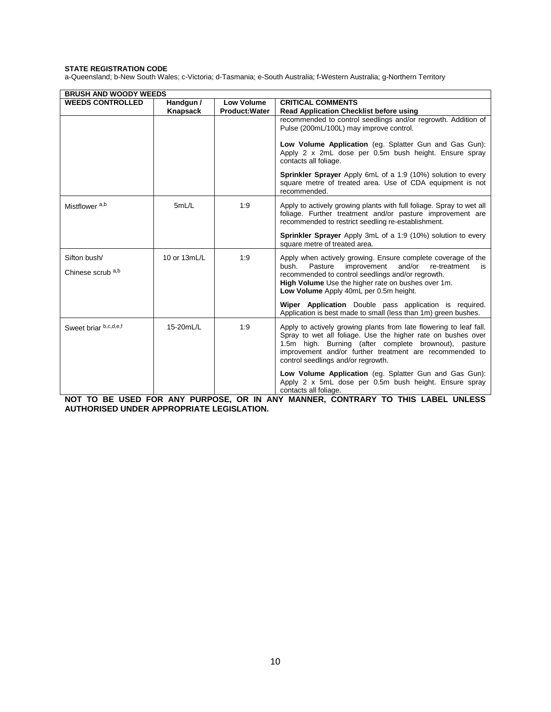a-Queensland; b-New South Wales; c-Victoria; d-Tasmania; e-South Australia; f-Western Australia; g-Northern Territory

| <b>BRUSH AND WOODY WEEDS</b>                 |              |                       |                                                                                                                                                                                                                                                                                              |
|----------------------------------------------|--------------|-----------------------|----------------------------------------------------------------------------------------------------------------------------------------------------------------------------------------------------------------------------------------------------------------------------------------------|
| <b>WEEDS CONTROLLED</b>                      | Handgun /    | <b>Low Volume</b>     | <b>CRITICAL COMMENTS</b>                                                                                                                                                                                                                                                                     |
|                                              | Knapsack     | <b>Product: Water</b> | <b>Read Application Checklist before using</b>                                                                                                                                                                                                                                               |
|                                              |              |                       | recommended to control seedlings and/or regrowth. Addition of<br>Pulse (200mL/100L) may improve control.<br>Low Volume Application (eg. Splatter Gun and Gas Gun):<br>Apply 2 x 2mL dose per 0.5m bush height. Ensure spray                                                                  |
|                                              |              |                       | contacts all foliage.                                                                                                                                                                                                                                                                        |
|                                              |              |                       | <b>Sprinkler Sprayer</b> Apply 6mL of a 1:9 (10%) solution to every<br>square metre of treated area. Use of CDA equipment is not<br>recommended.                                                                                                                                             |
| Mistflower <sup>a,b</sup>                    | 5mL/L        | 1:9                   | Apply to actively growing plants with full foliage. Spray to wet all<br>foliage. Further treatment and/or pasture improvement are<br>recommended to restrict seedling re-establishment.                                                                                                      |
|                                              |              |                       | <b>Sprinkler Sprayer</b> Apply 3mL of a 1:9 (10%) solution to every<br>square metre of treated area.                                                                                                                                                                                         |
| Sifton bush/<br>Chinese scrub <sup>a,b</sup> | 10 or 13mL/L | 1:9                   | Apply when actively growing. Ensure complete coverage of the<br>improvement<br>and/or<br>Pasture<br>re-treatment<br>bush.<br>is<br>recommended to control seedlings and/or regrowth.<br>High Volume Use the higher rate on bushes over 1m.<br>Low Volume Apply 40mL per 0.5m height.         |
|                                              |              |                       | Wiper Application Double pass application is required.<br>Application is best made to small (less than 1m) green bushes.                                                                                                                                                                     |
| Sweet briar b,c,d,e,f                        | 15-20mL/L    | 1:9                   | Apply to actively growing plants from late flowering to leaf fall.<br>Spray to wet all foliage. Use the higher rate on bushes over<br>1.5m high. Burning (after complete brownout), pasture<br>improvement and/or further treatment are recommended to<br>control seedlings and/or regrowth. |
|                                              |              |                       | Low Volume Application (eg. Splatter Gun and Gas Gun):<br>Apply 2 x 5mL dose per 0.5m bush height. Ensure spray<br>contacts all foliage.                                                                                                                                                     |

**NOT TO BE USED FOR ANY PURPOSE, OR IN ANY MANNER, CONTRARY TO THIS LABEL UNLESS AUTHORISED UNDER APPROPRIATE LEGISLATION.**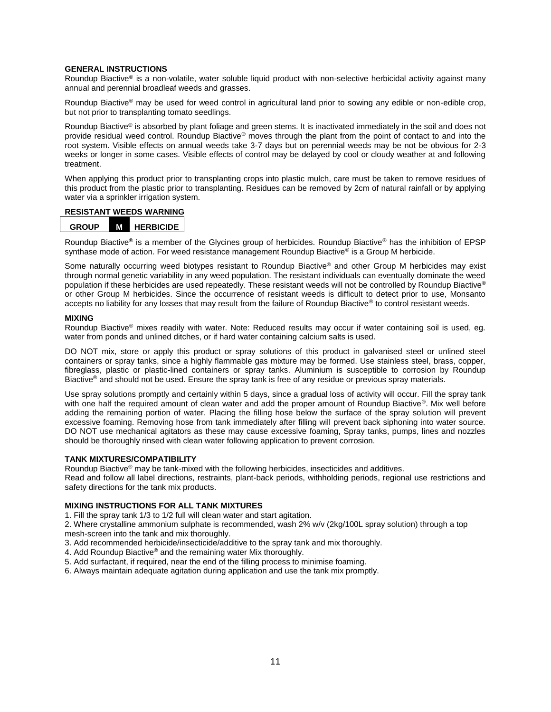#### **GENERAL INSTRUCTIONS**

Roundup Biactive<sup>®</sup> is a non-volatile, water soluble liquid product with non-selective herbicidal activity against many annual and perennial broadleaf weeds and grasses.

Roundup Biactive® may be used for weed control in agricultural land prior to sowing any edible or non-edible crop, but not prior to transplanting tomato seedlings.

Roundup Biactive<sup>®</sup> is absorbed by plant foliage and green stems. It is inactivated immediately in the soil and does not provide residual weed control. Roundup Biactive® moves through the plant from the point of contact to and into the root system. Visible effects on annual weeds take 3-7 days but on perennial weeds may be not be obvious for 2-3 weeks or longer in some cases. Visible effects of control may be delayed by cool or cloudy weather at and following treatment.

When applying this product prior to transplanting crops into plastic mulch, care must be taken to remove residues of this product from the plastic prior to transplanting. Residues can be removed by 2cm of natural rainfall or by applying water via a sprinkler irrigation system.

#### **RESISTANT WEEDS WARNING**

| <b>GROUP</b> | м | <b>HERBICIDE</b> |
|--------------|---|------------------|
|--------------|---|------------------|

Roundup Biactive® is a member of the Glycines group of herbicides. Roundup Biactive® has the inhibition of EPSP synthase mode of action. For weed resistance management Roundup Biactive<sup>®</sup> is a Group M herbicide.

Some naturally occurring weed biotypes resistant to Roundup Biactive<sup>®</sup> and other Group M herbicides may exist through normal genetic variability in any weed population. The resistant individuals can eventually dominate the weed population if these herbicides are used repeatedly. These resistant weeds will not be controlled by Roundup Biactive® or other Group M herbicides. Since the occurrence of resistant weeds is difficult to detect prior to use, Monsanto accepts no liability for any losses that may result from the failure of Roundup Biactive<sup>®</sup> to control resistant weeds.

#### **MIXING**

Roundup Biactive<sup>®</sup> mixes readily with water. Note: Reduced results may occur if water containing soil is used, eg. water from ponds and unlined ditches, or if hard water containing calcium salts is used.

DO NOT mix, store or apply this product or spray solutions of this product in galvanised steel or unlined steel containers or spray tanks, since a highly flammable gas mixture may be formed. Use stainless steel, brass, copper, fibreglass, plastic or plastic-lined containers or spray tanks. Aluminium is susceptible to corrosion by Roundup Biactive<sup>®</sup> and should not be used. Ensure the spray tank is free of any residue or previous spray materials.

Use spray solutions promptly and certainly within 5 days, since a gradual loss of activity will occur. Fill the spray tank with one half the required amount of clean water and add the proper amount of Roundup Biactive®. Mix well before adding the remaining portion of water. Placing the filling hose below the surface of the spray solution will prevent excessive foaming. Removing hose from tank immediately after filling will prevent back siphoning into water source. DO NOT use mechanical agitators as these may cause excessive foaming, Spray tanks, pumps, lines and nozzles should be thoroughly rinsed with clean water following application to prevent corrosion.

#### **TANK MIXTURES/COMPATIBILITY**

Roundup Biactive® may be tank-mixed with the following herbicides, insecticides and additives.

Read and follow all label directions, restraints, plant-back periods, withholding periods, regional use restrictions and safety directions for the tank mix products.

#### **MIXING INSTRUCTIONS FOR ALL TANK MIXTURES**

1. Fill the spray tank 1/3 to 1/2 full will clean water and start agitation.

2. Where crystalline ammonium sulphate is recommended, wash 2% w/v (2kg/100L spray solution) through a top mesh-screen into the tank and mix thoroughly.

- 3. Add recommended herbicide/insecticide/additive to the spray tank and mix thoroughly.
- 4. Add Roundup Biactive® and the remaining water Mix thoroughly.
- 5. Add surfactant, if required, near the end of the filling process to minimise foaming.
- 6. Always maintain adequate agitation during application and use the tank mix promptly.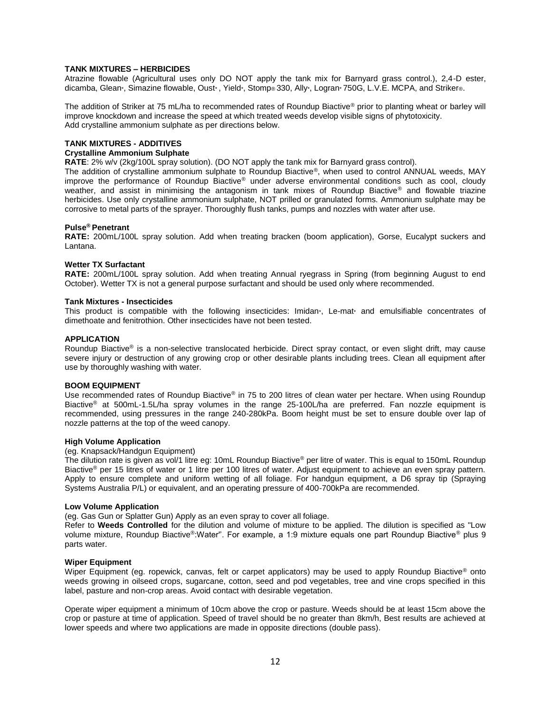#### **TANK MIXTURES – HERBICIDES**

Atrazine flowable (Agricultural uses only DO NOT apply the tank mix for Barnyard grass control.), 2,4-D ester, dicamba, Glean\*, Simazine flowable, Oust\*, Yield\*, Stomp® 330, Ally\*, Logran\* 750G, L.V.E. MCPA, and Striker®.

The addition of Striker at 75 mL/ha to recommended rates of Roundup Biactive® prior to planting wheat or barley will improve knockdown and increase the speed at which treated weeds develop visible signs of phytotoxicity. Add crystalline ammonium sulphate as per directions below.

#### **TANK MIXTURES - ADDITIVES**

#### **Crystalline Ammonium Sulphate**

**RATE**: 2% w/v (2kg/100L spray solution). (DO NOT apply the tank mix for Barnyard grass control).

The addition of crystalline ammonium sulphate to Roundup Biactive®, when used to control ANNUAL weeds, MAY improve the performance of Roundup Biactive® under adverse environmental conditions such as cool, cloudy weather, and assist in minimising the antagonism in tank mixes of Roundup Biactive® and flowable triazine herbicides. Use only crystalline ammonium sulphate, NOT prilled or granulated forms. Ammonium sulphate may be corrosive to metal parts of the sprayer. Thoroughly flush tanks, pumps and nozzles with water after use.

#### **Pulse® Penetrant**

**RATE:** 200mL/100L spray solution. Add when treating bracken (boom application), Gorse, Eucalypt suckers and Lantana.

#### **Wetter TX Surfactant**

**RATE:** 200mL/100L spray solution. Add when treating Annual ryegrass in Spring (from beginning August to end October). Wetter TX is not a general purpose surfactant and should be used only where recommended.

#### **Tank Mixtures - Insecticides**

This product is compatible with the following insecticides: Imidan<sup>+</sup>, Le-mat<sup>+</sup> and emulsifiable concentrates of dimethoate and fenitrothion. Other insecticides have not been tested.

#### **APPLICATION**

Roundup Biactive® is a non-selective translocated herbicide. Direct spray contact, or even slight drift, may cause severe injury or destruction of any growing crop or other desirable plants including trees. Clean all equipment after use by thoroughly washing with water.

#### **BOOM EQUIPMENT**

Use recommended rates of Roundup Biactive<sup>®</sup> in 75 to 200 litres of clean water per hectare. When using Roundup Biactive® at 500mL-1.5L/ha spray volumes in the range 25-100L/ha are preferred. Fan nozzle equipment is recommended, using pressures in the range 240-280kPa. Boom height must be set to ensure double over lap of nozzle patterns at the top of the weed canopy.

#### **High Volume Application**

#### (eg. Knapsack/Handgun Equipment)

The dilution rate is given as vol/1 litre eg: 10mL Roundup Biactive® per litre of water. This is equal to 150mL Roundup Biactive<sup>®</sup> per 15 litres of water or 1 litre per 100 litres of water. Adjust equipment to achieve an even spray pattern. Apply to ensure complete and uniform wetting of all foliage. For handgun equipment, a D6 spray tip (Spraying Systems Australia P/L) or equivalent, and an operating pressure of 400-700kPa are recommended.

#### **Low Volume Application**

(eg. Gas Gun or Splatter Gun) Apply as an even spray to cover all foliage.

Refer to **Weeds Controlled** for the dilution and volume of mixture to be applied. The dilution is specified as "Low volume mixture, Roundup Biactive®:Water''. For example, a 1:9 mixture equals one part Roundup Biactive® plus 9 parts water.

#### **Wiper Equipment**

Wiper Equipment (eg. ropewick, canvas, felt or carpet applicators) may be used to apply Roundup Biactive® onto weeds growing in oilseed crops, sugarcane, cotton, seed and pod vegetables, tree and vine crops specified in this label, pasture and non-crop areas. Avoid contact with desirable vegetation.

Operate wiper equipment a minimum of 10cm above the crop or pasture. Weeds should be at least 15cm above the crop or pasture at time of application. Speed of travel should be no greater than 8km/h, Best results are achieved at lower speeds and where two applications are made in opposite directions (double pass).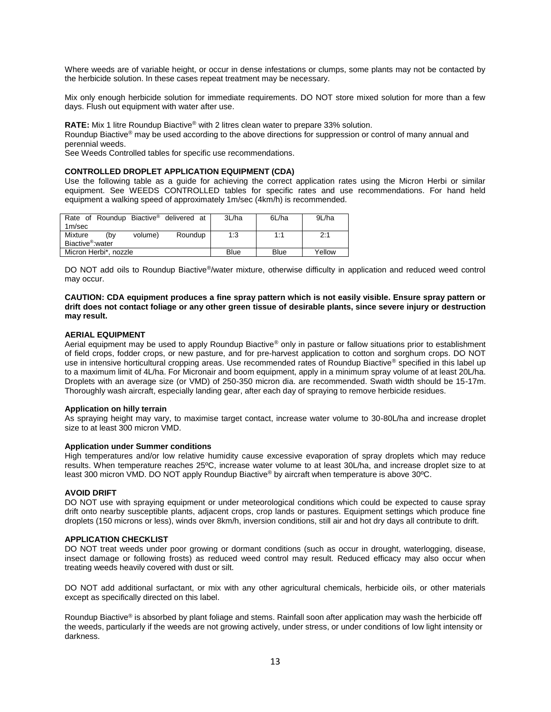Where weeds are of variable height, or occur in dense infestations or clumps, some plants may not be contacted by the herbicide solution. In these cases repeat treatment may be necessary.

Mix only enough herbicide solution for immediate requirements. DO NOT store mixed solution for more than a few days. Flush out equipment with water after use.

**RATE:** Mix 1 litre Roundup Biactive® with 2 litres clean water to prepare 33% solution.

Roundup Biactive<sup>®</sup> may be used according to the above directions for suppression or control of many annual and perennial weeds.

See Weeds Controlled tables for specific use recommendations.

#### **CONTROLLED DROPLET APPLICATION EQUIPMENT (CDA)**

Use the following table as a guide for achieving the correct application rates using the Micron Herbi or similar equipment. See WEEDS CONTROLLED tables for specific rates and use recommendations. For hand held equipment a walking speed of approximately 1m/sec (4km/h) is recommended.

|                               |     |         | Rate of Roundup Biactive <sup>®</sup> delivered at |      | 3L/ha  | 6L/ha | 9L/ha |
|-------------------------------|-----|---------|----------------------------------------------------|------|--------|-------|-------|
| 1m/sec                        |     |         |                                                    |      |        |       |       |
| Mixture                       | (bv | volume) | Roundup                                            |      | 1:3    | 1:1   | 2:1   |
| Biactive <sup>®</sup> : water |     |         |                                                    |      |        |       |       |
| Micron Herbi*, nozzle         |     |         | Blue                                               | Blue | Yellow |       |       |

DO NOT add oils to Roundup Biactive®/water mixture, otherwise difficulty in application and reduced weed control may occur.

**CAUTION: CDA equipment produces a fine spray pattern which is not easily visible. Ensure spray pattern or drift does not contact foliage or any other green tissue of desirable plants, since severe injury or destruction may result.** 

#### **AERIAL EQUIPMENT**

Aerial equipment may be used to apply Roundup Biactive® only in pasture or fallow situations prior to establishment of field crops, fodder crops, or new pasture, and for pre-harvest application to cotton and sorghum crops. DO NOT use in intensive horticultural cropping areas. Use recommended rates of Roundup Biactive<sup>®</sup> specified in this label up to a maximum limit of 4L/ha. For Micronair and boom equipment, apply in a minimum spray volume of at least 20L/ha. Droplets with an average size (or VMD) of 250-350 micron dia. are recommended. Swath width should be 15-17m. Thoroughly wash aircraft, especially landing gear, after each day of spraying to remove herbicide residues.

#### **Application on hilly terrain**

As spraying height may vary, to maximise target contact, increase water volume to 30-80L/ha and increase droplet size to at least 300 micron VMD.

#### **Application under Summer conditions**

High temperatures and/or low relative humidity cause excessive evaporation of spray droplets which may reduce results. When temperature reaches 25ºC, increase water volume to at least 30L/ha, and increase droplet size to at least 300 micron VMD. DO NOT apply Roundup Biactive® by aircraft when temperature is above 30ºC.

#### **AVOID DRIFT**

DO NOT use with spraying equipment or under meteorological conditions which could be expected to cause spray drift onto nearby susceptible plants, adjacent crops, crop lands or pastures. Equipment settings which produce fine droplets (150 microns or less), winds over 8km/h, inversion conditions, still air and hot dry days all contribute to drift.

#### **APPLICATION CHECKLIST**

DO NOT treat weeds under poor growing or dormant conditions (such as occur in drought, waterlogging, disease, insect damage or following frosts) as reduced weed control may result. Reduced efficacy may also occur when treating weeds heavily covered with dust or silt.

DO NOT add additional surfactant, or mix with any other agricultural chemicals, herbicide oils, or other materials except as specifically directed on this label.

Roundup Biactive<sup>®</sup> is absorbed by plant foliage and stems. Rainfall soon after application may wash the herbicide off the weeds, particularly if the weeds are not growing actively, under stress, or under conditions of low light intensity or darkness.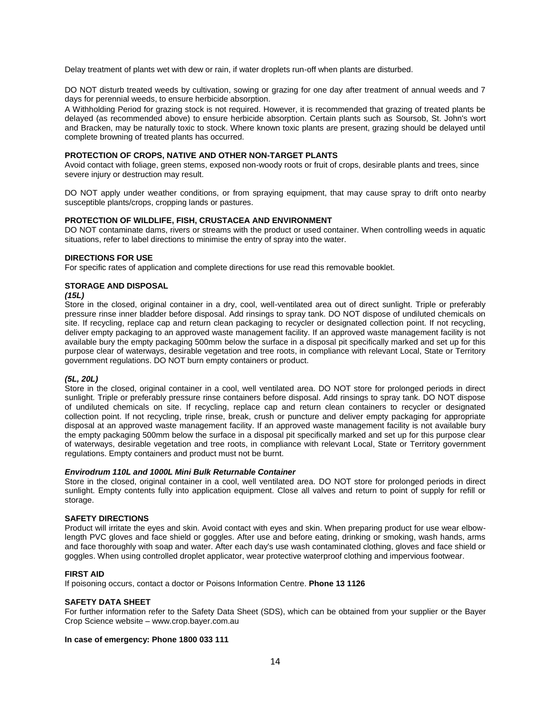Delay treatment of plants wet with dew or rain, if water droplets run-off when plants are disturbed.

DO NOT disturb treated weeds by cultivation, sowing or grazing for one day after treatment of annual weeds and 7 days for perennial weeds, to ensure herbicide absorption.

A Withholding Period for grazing stock is not required. However, it is recommended that grazing of treated plants be delayed (as recommended above) to ensure herbicide absorption. Certain plants such as Soursob, St. John's wort and Bracken, may be naturally toxic to stock. Where known toxic plants are present, grazing should be delayed until complete browning of treated plants has occurred.

#### **PROTECTION OF CROPS, NATIVE AND OTHER NON-TARGET PLANTS**

Avoid contact with foliage, green stems, exposed non-woody roots or fruit of crops, desirable plants and trees, since severe injury or destruction may result.

DO NOT apply under weather conditions, or from spraying equipment, that may cause spray to drift onto nearby susceptible plants/crops, cropping lands or pastures.

#### **PROTECTION OF WILDLIFE, FISH, CRUSTACEA AND ENVIRONMENT**

DO NOT contaminate dams, rivers or streams with the product or used container. When controlling weeds in aquatic situations, refer to label directions to minimise the entry of spray into the water.

#### **DIRECTIONS FOR USE**

For specific rates of application and complete directions for use read this removable booklet.

#### **STORAGE AND DISPOSAL**

#### *(15L)*

Store in the closed, original container in a dry, cool, well-ventilated area out of direct sunlight. Triple or preferably pressure rinse inner bladder before disposal. Add rinsings to spray tank. DO NOT dispose of undiluted chemicals on site. If recycling, replace cap and return clean packaging to recycler or designated collection point. If not recycling, deliver empty packaging to an approved waste management facility. If an approved waste management facility is not available bury the empty packaging 500mm below the surface in a disposal pit specifically marked and set up for this purpose clear of waterways, desirable vegetation and tree roots, in compliance with relevant Local, State or Territory government regulations. DO NOT burn empty containers or product.

#### *(5L, 20L)*

Store in the closed, original container in a cool, well ventilated area. DO NOT store for prolonged periods in direct sunlight. Triple or preferably pressure rinse containers before disposal. Add rinsings to spray tank. DO NOT dispose of undiluted chemicals on site. If recycling, replace cap and return clean containers to recycler or designated collection point. If not recycling, triple rinse, break, crush or puncture and deliver empty packaging for appropriate disposal at an approved waste management facility. If an approved waste management facility is not available bury the empty packaging 500mm below the surface in a disposal pit specifically marked and set up for this purpose clear of waterways, desirable vegetation and tree roots, in compliance with relevant Local, State or Territory government regulations. Empty containers and product must not be burnt.

#### *Envirodrum 110L and 1000L Mini Bulk Returnable Container*

Store in the closed, original container in a cool, well ventilated area. DO NOT store for prolonged periods in direct sunlight. Empty contents fully into application equipment. Close all valves and return to point of supply for refill or storage.

#### **SAFETY DIRECTIONS**

Product will irritate the eyes and skin. Avoid contact with eyes and skin. When preparing product for use wear elbowlength PVC gloves and face shield or goggles. After use and before eating, drinking or smoking, wash hands, arms and face thoroughly with soap and water. After each day's use wash contaminated clothing, gloves and face shield or goggles. When using controlled droplet applicator, wear protective waterproof clothing and impervious footwear.

#### **FIRST AID**

If poisoning occurs, contact a doctor or Poisons Information Centre. **Phone 13 1126** 

#### **SAFETY DATA SHEET**

For further information refer to the Safety Data Sheet (SDS), which can be obtained from your supplier or the Bayer Crop Science website – www.crop.bayer.com.au

#### **In case of emergency: Phone 1800 033 111**